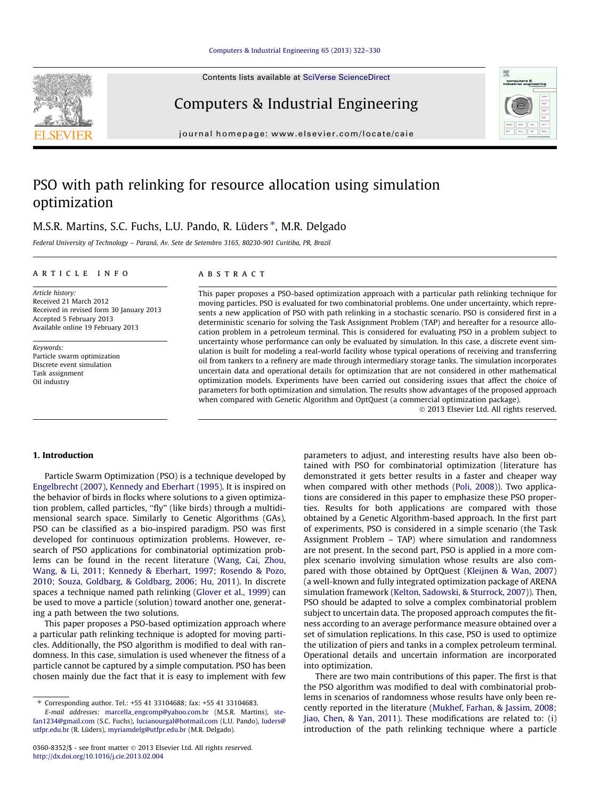Contents lists available at SciVerse ScienceDirect

### Computers & Industrial Engineering

journal homepage: [www.elsevier.com/locate/caie](http://www.elsevier.com/locate/caie)

## PSO with path relinking for resource allocation using simulation optimization

### M.S.R. Martins, S.C. Fuchs, L.U. Pando, R. Lüders \*, M.R. Delgado

Federal University of Technology – Paraná, Av. Sete de Setembro 3165, 80230-901 Curitiba, PR, Brazil

#### article info

Article history: Received 21 March 2012 Received in revised form 30 January 2013 Accepted 5 February 2013 Available online 19 February 2013

Keywords: Particle swarm optimization Discrete event simulation Task assignment Oil industry

#### **ABSTRACT**

This paper proposes a PSO-based optimization approach with a particular path relinking technique for moving particles. PSO is evaluated for two combinatorial problems. One under uncertainty, which represents a new application of PSO with path relinking in a stochastic scenario. PSO is considered first in a deterministic scenario for solving the Task Assignment Problem (TAP) and hereafter for a resource allocation problem in a petroleum terminal. This is considered for evaluating PSO in a problem subject to uncertainty whose performance can only be evaluated by simulation. In this case, a discrete event simulation is built for modeling a real-world facility whose typical operations of receiving and transferring oil from tankers to a refinery are made through intermediary storage tanks. The simulation incorporates uncertain data and operational details for optimization that are not considered in other mathematical optimization models. Experiments have been carried out considering issues that affect the choice of parameters for both optimization and simulation. The results show advantages of the proposed approach when compared with Genetic Algorithm and OptQuest (a commercial optimization package).

- 2013 Elsevier Ltd. All rights reserved.

#### 1. Introduction

Particle Swarm Optimization (PSO) is a technique developed by [Engelbrecht \(2007\), Kennedy and Eberhart \(1995\).](#page--1-0) It is inspired on the behavior of birds in flocks where solutions to a given optimization problem, called particles, ''fly'' (like birds) through a multidimensional search space. Similarly to Genetic Algorithms (GAs), PSO can be classified as a bio-inspired paradigm. PSO was first developed for continuous optimization problems. However, research of PSO applications for combinatorial optimization problems can be found in the recent literature ([Wang, Cai, Zhou,](#page--1-0) [Wang, & Li, 2011; Kennedy & Eberhart, 1997; Rosendo & Pozo,](#page--1-0) [2010; Souza, Goldbarg, & Goldbarg, 2006; Hu, 2011 \)](#page--1-0). In discrete spaces a technique named path relinking [\(Glover et al., 1999](#page--1-0)[\)](#page--1-0) can be used to move a particle (solution) toward another one, generating a path between the two solutions.

This paper proposes a PSO-based optimization approach where a particular path relinking technique is adopted for moving particles. Additionally, the PSO algorithm is modified to deal with randomness. In this case, simulation is used whenever the fitness of a particle cannot be captured by a simple computation. PSO has been chosen mainly due the fact that it is easy to implement with few

⇑ Corresponding author. Tel.: +55 41 33104688; fax: +55 41 33104683.

E-mail addresses: [marcella\\_engcomp@yahoo.com.br](mailto:marcella_engcomp@yahoo.com.br) (M.S.R. Martins), [ste](mailto:stefan1234@gmail.com)[fan1234@gmail.com](mailto:stefan1234@gmail.com) (S.C. Fuchs), [lucianourgal@hotmail.com](mailto:lucianourgal@hotmail.com) (L.U. Pando), [luders@](mailto:luders@utfpr.edu.br) [utfpr.edu.br](mailto:luders@utfpr.edu.br) (R. Lüders), [myriamdelg@utfpr.edu.br](mailto:myriamdelg@utfpr.edu.br) (M.R. Delgado).

parameters to adjust, and interesting results have also been obtained with PSO for combinatorial optimization (literature has demonstrated it gets better results in a faster and cheaper way when compared with other methods (Poli, 2008)). Two applications are considered in this paper to emphasize these PSO properties. Results for both applications are compared with those obtained by a Genetic Algorithm-based approach. In the first part of experiments, PSO is considered in a simple scenario (the Task Assignment Problem – TAP) where simulation and randomness are not present. In the second part, PSO is applied in a more complex scenario involving simulation whose results are also compared with those obtained by OptQuest (Kleijnen & Wan, 2007) (a well-known and fully integrated optimization package of ARENA simulation framework [\(Kelton, Sadowski, & Sturrock, 2007](#page--1-0))). Then, PSO should be adapted to solve a complex combinatorial problem subject to uncertain data. The proposed approach computes the fitness according to an average performance measure obtained over a set of simulation replications. In this case, PSO is used to optimize the utilization of piers and tanks in a complex petroleum terminal. Operational details and uncertain information are incorporated into optimization.

There are two main contributions of this paper. The first is that the PSO algorithm was modified to deal with combinatorial problems in scenarios of randomness whose results have only been recently reported in the literature [\(Mukhef, Farhan, & Jassim, 2008;](#page--1-0) [Jiao, Chen, & Yan, 2011](#page--1-0)). These modifications are related to: (i) introduction of the path relinking technique where a particle





<sup>0360-8352/\$ -</sup> see front matter © 2013 Elsevier Ltd. All rights reserved. <http://dx.doi.org/10.1016/j.cie.2013.02.004>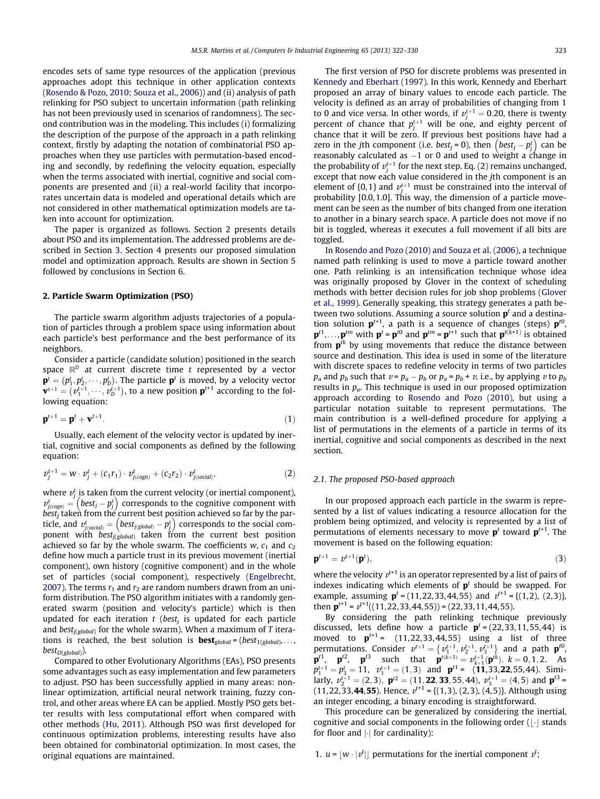encodes sets of same type resources of the application (previous approaches adopt this technique in other application contexts ([Rosendo & Pozo, 2010; Souza et al., 2006 \)](#page--1-0)) and (ii) analysis of path relinking for PSO subject to uncertain information (path relinking has not been previously used in scenarios of randomness). The second contribution was in the modeling. This includes (i) formalizing the description of the purpose of the approach in a path relinking context, firstly by adapting the notation of combinatorial PSO approaches when they use particles with permutation -based encoding and secondly, by redefining the velocity equation, especially when the terms associated with inertial, cognitive and social components are presented and (ii) a real-world facility that incorporates uncertain data is modeled and operational details which are not considered in other mathematical optimization models are taken into account for optimization.

The paper is organized as follows. Section 2 presents details about PSO and its implementation. The addressed problems are described in Section [3](#page--1-0). Section [4](#page--1-0) presents our proposed simulation model and optimization approach. Results are shown in Section [5](#page--1-0) followed by conclusions in Section [6.](#page--1-0)

#### 2. Particle Swarm Optimization (PSO)

The particle swarm algorithm adjusts trajectories of a population of particles through a problem space using information about each particle's best performance and the best performance of its neighbors.

Consider a particle (candidate solution) positioned in the search space  $\mathbb{R}^D$  at current discrete time t represented by a vector  $\mathbf{p}^t = (p_1^t, p_2^t, \dots, p_b^t)$ . The particle  $\mathbf{p}^t$  is moved, by a velocity vector  ${\bf v}^{t+1} = (v_1^{t+1}, \dots, v_D^{t+1})$ , to a new position  ${\bf p}^{t+1}$  according to the following equation:

$$
\mathbf{p}^{t+1} = \mathbf{p}^t + \mathbf{v}^{t+1}.\tag{1}
$$

Usually, each element of the velocity vector is updated by inertial, cognitive and social components as defined by the following equation:

$$
v_j^{t+1} = w \cdot v_j^t + (c_1 r_1) \cdot v_{j(cogn)}^t + (c_2 r_2) \cdot v_{j(social)}^t,
$$
 (2)

where  $v_j^t$  is taken from the current velocity (or inertial component), where  $v_j$  is taken from the current velocity (or inertial component),<br> $v_{j(cogn)}^t = (best_j - p_j^t)$  corresponds to the cognitive component with  $best<sub>j</sub>$  taken from the current best position achieved so far by the parbest<sub>j</sub> taken from the current best position achieved so far by the par-<br>ticle, and  $v^t_{j(social)} = (best_{j(global)} - p^t_j)$  corresponds to the social component with  $best_{j(global)}$  taken from the current best position achieved so far by the whole swarm. The coefficients w,  $c_1$  and  $c_2$ define how much a particle trust in its previous movement (inertial component), own history (cognitive component) and in the whole set of particles (social component), respectively (Engelbrecht, [2007](#page--1-0)). The terms  $r_1$  and  $r_2$  are random numbers drawn from an uniform distribution. The PSO algorithm initiates with a randomly generated swarm (position and velocity's particle) which is then updated for each iteration  $t$  (best<sub>i</sub> is updated for each particle and best<sub> $j(global)$ </sub> for the whole swarm). When a maximum of T iterations is reached, the best solution is **best**<sub>global</sub> = (best<sub>1(global</sub>),...,  $best_{D(global)}$ ).

Compared to other Evolutionary Algorithms (EAs), PSO presents some advantages such as easy implementation and few parameters to adjust. PSO has been successfully applied in many areas: nonlinear optimization, artificial neural network training, fuzzy control, and other areas where EA can be applied. Mostly PSO gets better results with less computational effort when compared with other methods [\(Hu, 2011](#page--1-0) ). Although PSO was first developed for continuous optimization problems, interesting results have also been obtained for combinatorial optimization. In most cases, the original equations are maintained.

The first version of PSO for discrete problems was presented in [Kennedy and Eberhart \(1997\)](#page--1-0). In this work, Kennedy and Eberhart proposed an array of binary values to encode each particle. The velocity is defined as an array of probabilities of changing from 1 to 0 and vice versa. In other words, if  $v_j^{t+1} = 0.20$ , there is twenty percent of chance that  $p_j^{t+1}$  will be one, and eighty percent of chance that it will be zero. If previous best positions have had a Eight charge that it will be zero. If previous best positions have had a<br>zero in the jth component (i.e. *best<sub>j</sub>* = 0), then  $\left(best_j - p_j^t\right)$  can be reasonably calculated as  $-1$  or 0 and used to weight a change in the probability of  $v_j^{t+1}$  for the next step. Eq. (2) remains unchanged, except that now each value considered in the jth component is an element of  $\{0,1\}$  and  $v_j^{t+1}$  must be constrained into the interval of probability  $[0.0, 1.0]$ . This way, the dimension of a particle movement can be seen as the number of bits changed from one iteration to another in a binary search space. A particle does not move if no bit is toggled, whereas it executes a full movement if all bits are toggled.

In [Rosendo and Pozo \(2010\) and Souza et al. \(2006\),](#page--1-0) a technique named path relinking is used to move a particle toward another one. Path relinking is an intensification technique whose idea was originally proposed by Glover in the context of scheduling methods with better decision rules for job shop problems ([Glover](#page--1-0) [et al., 1999](#page--1-0) ). Generally speaking, this strategy generates a path between two solutions. Assuming a source solution  $p<sup>t</sup>$  and a destination solution  $p^{t+1}$ , a path is a sequence of changes (steps)  $p^{t0}$ ,  $\mathbf{p}^{t1}, \ldots, \mathbf{p}^{tm}$  with  $\mathbf{p}^t = \mathbf{p}^{t0}$  and  $\mathbf{p}^{tm} = \mathbf{p}^{t+1}$  such that  $\mathbf{p}^{t(k+1)}$  is obtained from  $p^{tk}$  by using movements that reduce the distance between source and destination. This idea is used in some of the literature with discrete spaces to redefine velocity in terms of two particles  $p_a$  and  $p_b$  such that  $v = p_a - p_b$  or  $p_a = p_b + v$ , i.e., by applying v to  $p_b$ results in  $p_a$ . This technique is used in our proposed optimization approach according to [Rosendo and Pozo \(2010\),](#page--1-0) but using a particular notation suitable to represent permutations. The main contribution is a well-defined procedure for applying a list of permutations in the elements of a particle in terms of its inertial, cognitive and social components as described in the next section.

#### 2.1. The proposed PSO-based approach

In our proposed approach each particle in the swarm is represented by a list of values indicating a resource allocation for the problem being optimized, and velocity is represented by a list of permutations of elements necessary to move  $p<sup>t</sup>$  toward  $p<sup>t+1</sup>$ . The movement is based on the following equation:

$$
\mathbf{p}^{t+1} = v^{t+1}(\mathbf{p}^t),\tag{3}
$$

where the velocity  $v^{t+1}$  is an operator represented by a list of pairs of indexes indicating which elements of  $p<sup>t</sup>$  should be swapped. For example, assuming  $\mathbf{p}^t = (11, 22, 33, 44, 55)$  and  $v^{t+1} = \{(1, 2), (2, 3)\},$ then  $\mathbf{p}^{t+1} = v^{t+1}((11, 22, 33, 44, 55)) = (22, 33, 11, 44, 55).$ 

By considering the path relinking technique previously discussed, lets define how a particle  $p^t = (22, 33, 11, 55, 44)$  is moved to  $p^{t+1}$  = (11,22,33,44,55) using a list of three permutations. Consider  $v^{t+1} = \{v_1^{t+1}, v_2^{t+1}, v_3^{t+1}\}$  and a path  $\mathbf{p}^{t0}$ , **p**<sup>t1</sup>, **p**<sup>t2</sup>, **p**<sup>t3</sup> such that  $\mathbf{p}^{t(k+1)} = v_{k+1}^{t+1}(\mathbf{p}^{tk})$ ,  $k = 0, 1, 2$ . As  $p_1^{t+1} = p_3^t = 11$ ,  $v_1^{t+1} = (1,3)$  and  $\mathbf{p}^{t+1} = (11,33,22,55,44)$ . Similarly,  $v_2^{t+1} = (2, 3)$ ,  $\mathbf{p}^{t+1} = (11, 22, 33, 55, 44)$ ,  $v_3^{t+1} = (4, 5)$  and  $\mathbf{p}^{t+1} = (4, 5)$ (11,22,33,44,55). Hence,  $v^{t+1}$  = {(1,3), (2,3), (4,5)}. Although using an integer encoding, a binary encoding is straightforward.

This procedure can be generalized by considering the inertial, cognitive and social components in the following order  $(\lfloor \cdot \rfloor$  stands for floor and  $\lvert \cdot \rvert$  for cardinality):

1.  $u = [w \cdot |t']$  permutations for the inertial component  $t'$ ;